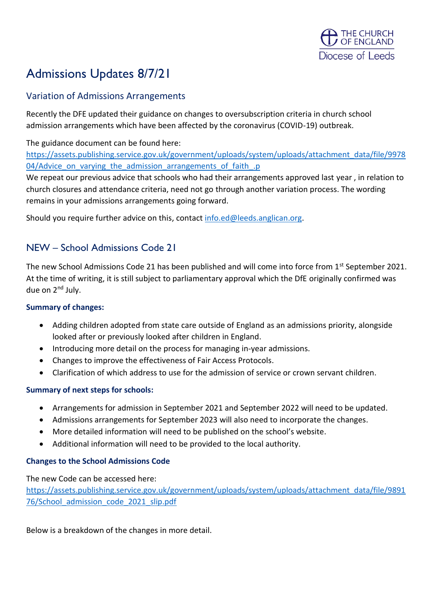

# Admissions Updates 8/7/21

# Variation of Admissions Arrangements

Recently the DFE updated their guidance on changes to oversubscription criteria in church school admission arrangements which have been affected by the coronavirus (COVID-19) outbreak.

## The guidance document can be found here:

[https://assets.publishing.service.gov.uk/government/uploads/system/uploads/attachment\\_data/file/9978](https://assets.publishing.service.gov.uk/government/uploads/system/uploads/attachment_data/file/997804/Advice_on_varying_the_admission_arrangements_of_faith_.p) 04/Advice on varying the admission arrangements of faith .p

We repeat our previous advice that schools who had their arrangements approved last year, in relation to church closures and attendance criteria, need not go through another variation process. The wording remains in your admissions arrangements going forward.

Should you require further advice on this, contact [info.ed@leeds.anglican.org.](mailto:info.ed@leeds.anglican.org)

# NEW – School Admissions Code 21

The new School Admissions Code 21 has been published and will come into force from 1st September 2021. At the time of writing, it is still subject to parliamentary approval which the DfE originally confirmed was due on 2<sup>nd</sup> July.

#### **Summary of changes:**

- Adding children adopted from state care outside of England as an admissions priority, alongside looked after or previously looked after children in England.
- Introducing more detail on the process for managing in-year admissions.
- Changes to improve the effectiveness of Fair Access Protocols.
- Clarification of which address to use for the admission of service or crown servant children.

## **Summary of next steps for schools:**

- Arrangements for admission in September 2021 and September 2022 will need to be updated.
- Admissions arrangements for September 2023 will also need to incorporate the changes.
- More detailed information will need to be published on the school's website.
- Additional information will need to be provided to the local authority.

#### **Changes to the School Admissions Code**

The new Code can be accessed here:

[https://assets.publishing.service.gov.uk/government/uploads/system/uploads/attachment\\_data/file/9891](https://assets.publishing.service.gov.uk/government/uploads/system/uploads/attachment_data/file/989176/School_admission_code_2021_slip.pdf) 76/School admission code 2021 slip.pdf

Below is a breakdown of the changes in more detail.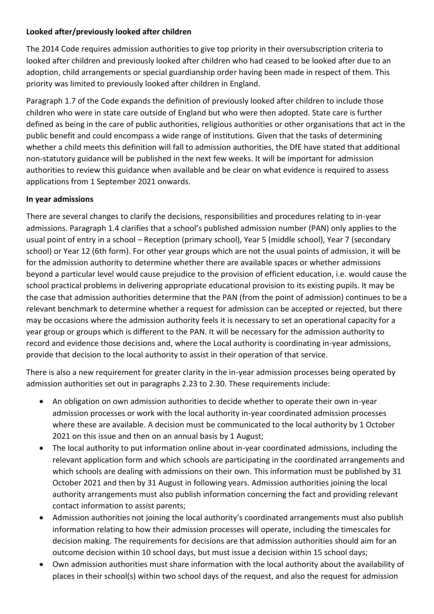#### **Looked after/previously looked after children**

The 2014 Code requires admission authorities to give top priority in their oversubscription criteria to looked after children and previously looked after children who had ceased to be looked after due to an adoption, child arrangements or special guardianship order having been made in respect of them. This priority was limited to previously looked after children in England.

Paragraph 1.7 of the Code expands the definition of previously looked after children to include those children who were in state care outside of England but who were then adopted. State care is further defined as being in the care of public authorities, religious authorities or other organisations that act in the public benefit and could encompass a wide range of institutions. Given that the tasks of determining whether a child meets this definition will fall to admission authorities, the DfE have stated that additional non-statutory guidance will be published in the next few weeks. It will be important for admission authorities to review this guidance when available and be clear on what evidence is required to assess applications from 1 September 2021 onwards.

#### **In year admissions**

There are several changes to clarify the decisions, responsibilities and procedures relating to in-year admissions. Paragraph 1.4 clarifies that a school's published admission number (PAN) only applies to the usual point of entry in a school – Reception (primary school), Year 5 (middle school), Year 7 (secondary school) or Year 12 (6th form). For other year groups which are not the usual points of admission, it will be for the admission authority to determine whether there are available spaces or whether admissions beyond a particular level would cause prejudice to the provision of efficient education, i.e. would cause the school practical problems in delivering appropriate educational provision to its existing pupils. It may be the case that admission authorities determine that the PAN (from the point of admission) continues to be a relevant benchmark to determine whether a request for admission can be accepted or rejected, but there may be occasions where the admission authority feels it is necessary to set an operational capacity for a year group or groups which is different to the PAN. It will be necessary for the admission authority to record and evidence those decisions and, where the Local authority is coordinating in-year admissions, provide that decision to the local authority to assist in their operation of that service.

There is also a new requirement for greater clarity in the in-year admission processes being operated by admission authorities set out in paragraphs 2.23 to 2.30. These requirements include:

- An obligation on own admission authorities to decide whether to operate their own in-year admission processes or work with the local authority in-year coordinated admission processes where these are available. A decision must be communicated to the local authority by 1 October 2021 on this issue and then on an annual basis by 1 August;
- The local authority to put information online about in-year coordinated admissions, including the relevant application form and which schools are participating in the coordinated arrangements and which schools are dealing with admissions on their own. This information must be published by 31 October 2021 and then by 31 August in following years. Admission authorities joining the local authority arrangements must also publish information concerning the fact and providing relevant contact information to assist parents;
- Admission authorities not joining the local authority's coordinated arrangements must also publish information relating to how their admission processes will operate, including the timescales for decision making. The requirements for decisions are that admission authorities should aim for an outcome decision within 10 school days, but must issue a decision within 15 school days;
- Own admission authorities must share information with the local authority about the availability of places in their school(s) within two school days of the request, and also the request for admission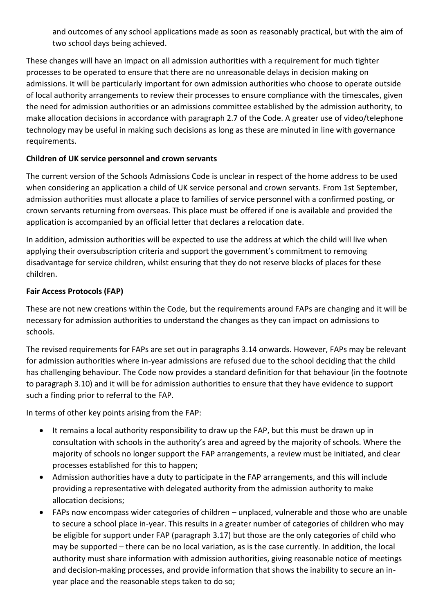and outcomes of any school applications made as soon as reasonably practical, but with the aim of two school days being achieved.

These changes will have an impact on all admission authorities with a requirement for much tighter processes to be operated to ensure that there are no unreasonable delays in decision making on admissions. It will be particularly important for own admission authorities who choose to operate outside of local authority arrangements to review their processes to ensure compliance with the timescales, given the need for admission authorities or an admissions committee established by the admission authority, to make allocation decisions in accordance with paragraph 2.7 of the Code. A greater use of video/telephone technology may be useful in making such decisions as long as these are minuted in line with governance requirements.

## **Children of UK service personnel and crown servants**

The current version of the Schools Admissions Code is unclear in respect of the home address to be used when considering an application a child of UK service personal and crown servants. From 1st September, admission authorities must allocate a place to families of service personnel with a confirmed posting, or crown servants returning from overseas. This place must be offered if one is available and provided the application is accompanied by an official letter that declares a relocation date.

In addition, admission authorities will be expected to use the address at which the child will live when applying their oversubscription criteria and support the government's commitment to removing disadvantage for service children, whilst ensuring that they do not reserve blocks of places for these children.

## **Fair Access Protocols (FAP)**

These are not new creations within the Code, but the requirements around FAPs are changing and it will be necessary for admission authorities to understand the changes as they can impact on admissions to schools.

The revised requirements for FAPs are set out in paragraphs 3.14 onwards. However, FAPs may be relevant for admission authorities where in-year admissions are refused due to the school deciding that the child has challenging behaviour. The Code now provides a standard definition for that behaviour (in the footnote to paragraph 3.10) and it will be for admission authorities to ensure that they have evidence to support such a finding prior to referral to the FAP.

In terms of other key points arising from the FAP:

- It remains a local authority responsibility to draw up the FAP, but this must be drawn up in consultation with schools in the authority's area and agreed by the majority of schools. Where the majority of schools no longer support the FAP arrangements, a review must be initiated, and clear processes established for this to happen;
- Admission authorities have a duty to participate in the FAP arrangements, and this will include providing a representative with delegated authority from the admission authority to make allocation decisions;
- FAPs now encompass wider categories of children unplaced, vulnerable and those who are unable to secure a school place in-year. This results in a greater number of categories of children who may be eligible for support under FAP (paragraph 3.17) but those are the only categories of child who may be supported – there can be no local variation, as is the case currently. In addition, the local authority must share information with admission authorities, giving reasonable notice of meetings and decision-making processes, and provide information that shows the inability to secure an inyear place and the reasonable steps taken to do so;